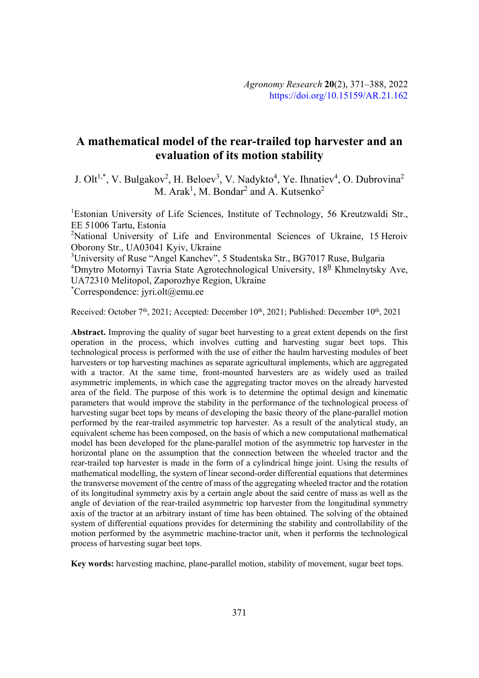# **A mathematical model of the rear-trailed top harvester and an evaluation of its motion stability**

J. Olt<sup>1,\*</sup>, V. Bulgakov<sup>2</sup>, H. Beloev<sup>3</sup>, V. Nadykto<sup>4</sup>, Ye. Ihnatiev<sup>4</sup>, O. Dubrovina<sup>2</sup> M. Arak<sup>1</sup>, M. Bondar<sup>2</sup> and A. Kutsenko<sup>2</sup>

<sup>1</sup>Estonian University of Life Sciences, Institute of Technology, 56 Kreutzwaldi Str., EE 51006 Tartu, Estonia <sup>2</sup>National University of Life and Environmental Sciences of Ukraine, 15 Heroiv

Oborony Str., UA03041 Kyiv, Ukraine

<sup>3</sup>University of Ruse "Angel Kanchev", 5 Studentska Str., BG7017 Ruse, Bulgaria <sup>4</sup>Dmytro Motornyi Tavria State Agrotechnological University, 18<sup>B</sup> Khmelnytsky Ave, UA72310 Melitopol, Zaporozhye Region, Ukraine

\* Correspondence: jyri.olt@emu.ee

Received: October 7<sup>th</sup>, 2021; Accepted: December 10<sup>th</sup>, 2021; Published: December 10<sup>th</sup>, 2021

**Abstract.** Improving the quality of sugar beet harvesting to a great extent depends on the first operation in the process, which involves cutting and harvesting sugar beet tops. This technological process is performed with the use of either the haulm harvesting modules of beet harvesters or top harvesting machines as separate agricultural implements, which are aggregated with a tractor. At the same time, front-mounted harvesters are as widely used as trailed asymmetric implements, in which case the aggregating tractor moves on the already harvested area of the field. The purpose of this work is to determine the optimal design and kinematic parameters that would improve the stability in the performance of the technological process of harvesting sugar beet tops by means of developing the basic theory of the plane-parallel motion performed by the rear-trailed asymmetric top harvester. As a result of the analytical study, an equivalent scheme has been composed, on the basis of which a new computational mathematical model has been developed for the plane-parallel motion of the asymmetric top harvester in the horizontal plane on the assumption that the connection between the wheeled tractor and the rear-trailed top harvester is made in the form of a cylindrical hinge joint. Using the results of mathematical modelling, the system of linear second-order differential equations that determines the transverse movement of the centre of mass of the aggregating wheeled tractor and the rotation of its longitudinal symmetry axis by a certain angle about the said centre of mass as well as the angle of deviation of the rear-trailed asymmetric top harvester from the longitudinal symmetry axis of the tractor at an arbitrary instant of time has been obtained. The solving of the obtained system of differential equations provides for determining the stability and controllability of the motion performed by the asymmetric machine-tractor unit, when it performs the technological process of harvesting sugar beet tops.

**Key words:** harvesting machine, plane-parallel motion, stability of movement, sugar beet tops.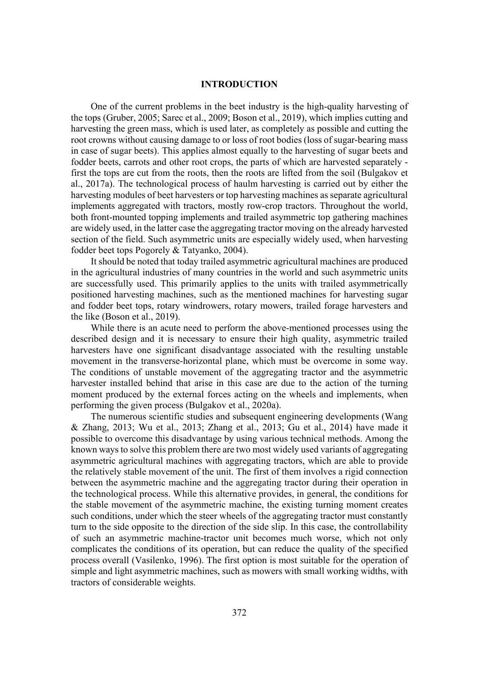## **INTRODUCTION**

One of the current problems in the beet industry is the high-quality harvesting of the tops (Gruber, 2005; Sarec et al., 2009; Boson et al., 2019), which implies cutting and harvesting the green mass, which is used later, as completely as possible and cutting the root crowns without causing damage to or loss of root bodies (loss of sugar-bearing mass in case of sugar beets). This applies almost equally to the harvesting of sugar beets and fodder beets, carrots and other root crops, the parts of which are harvested separately first the tops are cut from the roots, then the roots are lifted from the soil (Bulgakov et al., 2017a). The technological process of haulm harvesting is carried out by either the harvesting modules of beet harvesters or top harvesting machines as separate agricultural implements aggregated with tractors, mostly row-crop tractors. Throughout the world, both front-mounted topping implements and trailed asymmetric top gathering machines are widely used, in the latter case the aggregating tractor moving on the already harvested section of the field. Such asymmetric units are especially widely used, when harvesting fodder beet tops Pogorely & Tatyanko, 2004).

It should be noted that today trailed asymmetric agricultural machines are produced in the agricultural industries of many countries in the world and such asymmetric units are successfully used. This primarily applies to the units with trailed asymmetrically positioned harvesting machines, such as the mentioned machines for harvesting sugar and fodder beet tops, rotary windrowers, rotary mowers, trailed forage harvesters and the like (Boson et al., 2019).

While there is an acute need to perform the above-mentioned processes using the described design and it is necessary to ensure their high quality, asymmetric trailed harvesters have one significant disadvantage associated with the resulting unstable movement in the transverse-horizontal plane, which must be overcome in some way. The conditions of unstable movement of the aggregating tractor and the asymmetric harvester installed behind that arise in this case are due to the action of the turning moment produced by the external forces acting on the wheels and implements, when performing the given process (Bulgakov et al., 2020a).

The numerous scientific studies and subsequent engineering developments (Wang & Zhang, 2013; Wu et al., 2013; Zhang et al., 2013; Gu et al., 2014) have made it possible to overcome this disadvantage by using various technical methods. Among the known ways to solve this problem there are two most widely used variants of aggregating asymmetric agricultural machines with aggregating tractors, which are able to provide the relatively stable movement of the unit. The first of them involves a rigid connection between the asymmetric machine and the aggregating tractor during their operation in the technological process. While this alternative provides, in general, the conditions for the stable movement of the asymmetric machine, the existing turning moment creates such conditions, under which the steer wheels of the aggregating tractor must constantly turn to the side opposite to the direction of the side slip. In this case, the controllability of such an asymmetric machine-tractor unit becomes much worse, which not only complicates the conditions of its operation, but can reduce the quality of the specified process overall (Vasilenko, 1996). The first option is most suitable for the operation of simple and light asymmetric machines, such as mowers with small working widths, with tractors of considerable weights.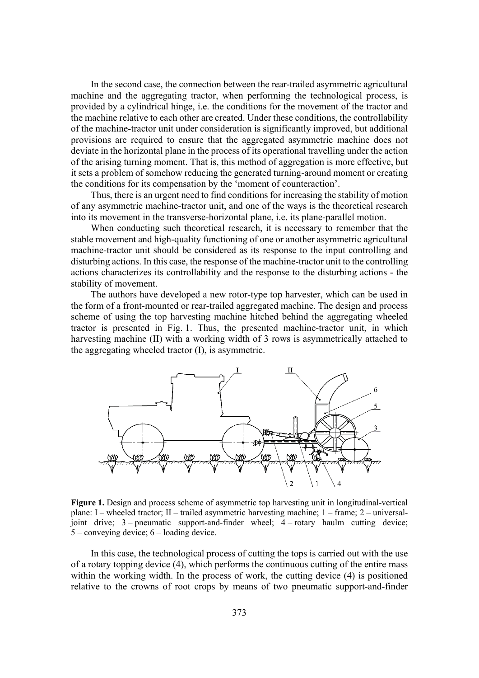In the second case, the connection between the rear-trailed asymmetric agricultural machine and the aggregating tractor, when performing the technological process, is provided by a cylindrical hinge, i.e. the conditions for the movement of the tractor and the machine relative to each other are created. Under these conditions, the controllability of the machine-tractor unit under consideration is significantly improved, but additional provisions are required to ensure that the aggregated asymmetric machine does not deviate in the horizontal plane in the process of its operational travelling under the action of the arising turning moment. That is, this method of aggregation is more effective, but it sets a problem of somehow reducing the generated turning-around moment or creating the conditions for its compensation by the 'moment of counteraction'.

Thus, there is an urgent need to find conditions for increasing the stability of motion of any asymmetric machine-tractor unit, and one of the ways is the theoretical research into its movement in the transverse-horizontal plane, i.e. its plane-parallel motion.

When conducting such theoretical research, it is necessary to remember that the stable movement and high-quality functioning of one or another asymmetric agricultural machine-tractor unit should be considered as its response to the input controlling and disturbing actions. In this case, the response of the machine-tractor unit to the controlling actions characterizes its controllability and the response to the disturbing actions - the stability of movement.

The authors have developed a new rotor-type top harvester, which can be used in the form of a front-mounted or rear-trailed aggregated machine. The design and process scheme of using the top harvesting machine hitched behind the aggregating wheeled tractor is presented in Fig. 1. Thus, the presented machine-tractor unit, in which harvesting machine (II) with a working width of 3 rows is asymmetrically attached to the aggregating wheeled tractor (I), is asymmetric.



**Figure 1.** Design and process scheme of asymmetric top harvesting unit in longitudinal-vertical plane: I – wheeled tractor; II – trailed asymmetric harvesting machine; 1 – frame; 2 – universaljoint drive; 3 – pneumatic support-and-finder wheel; 4 – rotary haulm cutting device; 5 – conveying device; 6 – loading device.

In this case, the technological process of cutting the tops is carried out with the use of a rotary topping device (4), which performs the continuous cutting of the entire mass within the working width. In the process of work, the cutting device (4) is positioned relative to the crowns of root crops by means of two pneumatic support-and-finder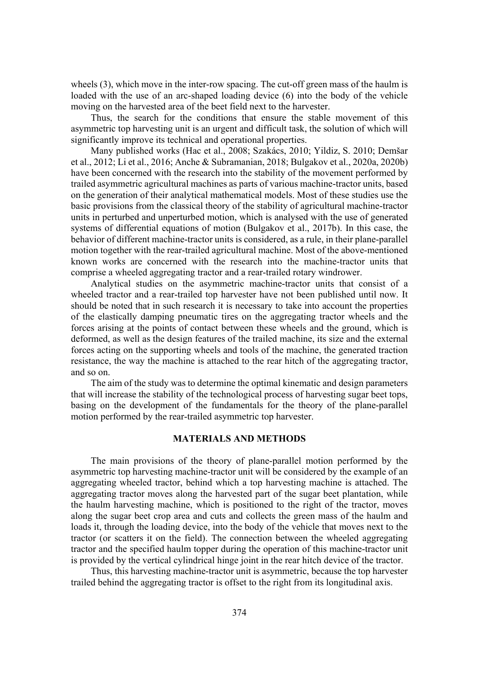wheels (3), which move in the inter-row spacing. The cut-off green mass of the haulm is loaded with the use of an arc-shaped loading device (6) into the body of the vehicle moving on the harvested area of the beet field next to the harvester.

Thus, the search for the conditions that ensure the stable movement of this asymmetric top harvesting unit is an urgent and difficult task, the solution of which will significantly improve its technical and operational properties.

Many published works (Hac et al., 2008; Szakács, 2010; Yildiz, S. 2010; Demšar et al., 2012; Li et al., 2016; Anche & Subramanian, 2018; Bulgakov et al., 2020a, 2020b) have been concerned with the research into the stability of the movement performed by trailed asymmetric agricultural machines as parts of various machine-tractor units, based on the generation of their analytical mathematical models. Most of these studies use the basic provisions from the classical theory of the stability of agricultural machine-tractor units in perturbed and unperturbed motion, which is analysed with the use of generated systems of differential equations of motion (Bulgakov et al., 2017b). In this case, the behavior of different machine-tractor units is considered, as a rule, in their plane-parallel motion together with the rear-trailed agricultural machine. Most of the above-mentioned known works are concerned with the research into the machine-tractor units that comprise a wheeled aggregating tractor and a rear-trailed rotary windrower.

Analytical studies on the asymmetric machine-tractor units that consist of a wheeled tractor and a rear-trailed top harvester have not been published until now. It should be noted that in such research it is necessary to take into account the properties of the elastically damping pneumatic tires on the aggregating tractor wheels and the forces arising at the points of contact between these wheels and the ground, which is deformed, as well as the design features of the trailed machine, its size and the external forces acting on the supporting wheels and tools of the machine, the generated traction resistance, the way the machine is attached to the rear hitch of the aggregating tractor, and so on.

The aim of the study was to determine the optimal kinematic and design parameters that will increase the stability of the technological process of harvesting sugar beet tops, basing on the development of the fundamentals for the theory of the plane-parallel motion performed by the rear-trailed asymmetric top harvester.

# **MATERIALS AND METHODS**

The main provisions of the theory of plane-parallel motion performed by the asymmetric top harvesting machine-tractor unit will be considered by the example of an aggregating wheeled tractor, behind which a top harvesting machine is attached. The aggregating tractor moves along the harvested part of the sugar beet plantation, while the haulm harvesting machine, which is positioned to the right of the tractor, moves along the sugar beet crop area and cuts and collects the green mass of the haulm and loads it, through the loading device, into the body of the vehicle that moves next to the tractor (or scatters it on the field). The connection between the wheeled aggregating tractor and the specified haulm topper during the operation of this machine-tractor unit is provided by the vertical cylindrical hinge joint in the rear hitch device of the tractor.

Thus, this harvesting machine-tractor unit is asymmetric, because the top harvester trailed behind the aggregating tractor is offset to the right from its longitudinal axis.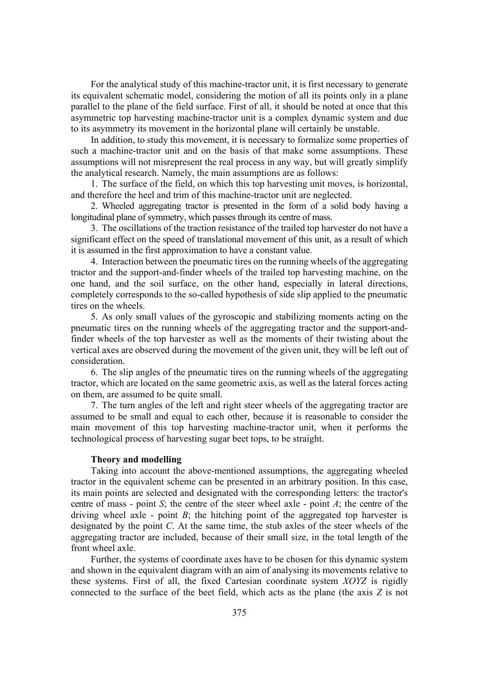For the analytical study of this machine-tractor unit, it is first necessary to generate its equivalent schematic model, considering the motion of all its points only in a plane parallel to the plane of the field surface. First of all, it should be noted at once that this asymmetric top harvesting machine-tractor unit is a complex dynamic system and due to its asymmetry its movement in the horizontal plane will certainly be unstable.

In addition, to study this movement, it is necessary to formalize some properties of such a machine-tractor unit and on the basis of that make some assumptions. These assumptions will not misrepresent the real process in any way, but will greatly simplify the analytical research. Namely, the main assumptions are as follows:

1. The surface of the field, on which this top harvesting unit moves, is horizontal, and therefore the heel and trim of this machine-tractor unit are neglected.

2. Wheeled aggregating tractor is presented in the form of a solid body having a longitudinal plane of symmetry, which passes through its centre of mass.

3. The oscillations of the traction resistance of the trailed top harvester do not have a significant effect on the speed of translational movement of this unit, as a result of which it is assumed in the first approximation to have a constant value.

4. Interaction between the pneumatic tires on the running wheels of the aggregating tractor and the support-and-finder wheels of the trailed top harvesting machine, on the one hand, and the soil surface, on the other hand, especially in lateral directions, completely corresponds to the so-called hypothesis of side slip applied to the pneumatic tires on the wheels.

5. As only small values of the gyroscopic and stabilizing moments acting on the pneumatic tires on the running wheels of the aggregating tractor and the support-andfinder wheels of the top harvester as well as the moments of their twisting about the vertical axes are observed during the movement of the given unit, they will be left out of consideration.

6. The slip angles of the pneumatic tires on the running wheels of the aggregating tractor, which are located on the same geometric axis, as well as the lateral forces acting on them, are assumed to be quite small.

7. The turn angles of the left and right steer wheels of the aggregating tractor are assumed to be small and equal to each other, because it is reasonable to consider the main movement of this top harvesting machine-tractor unit, when it performs the technological process of harvesting sugar beet tops, to be straight.

### **Theory and modelling**

Taking into account the above-mentioned assumptions, the aggregating wheeled tractor in the equivalent scheme can be presented in an arbitrary position. In this case, its main points are selected and designated with the corresponding letters: the tractor's centre of mass - point *6*; the centre of the steer wheel axle - point *A*; the centre of the driving wheel axle - point *B*; the hitching point of the aggregated top harvester is designated by the point *C*. At the same time, the stub axles of the steer wheels of the aggregating tractor are included, because of their small size, in the total length of the front wheel axle.

Further, the systems of coordinate axes have to be chosen for this dynamic system and shown in the equivalent diagram with an aim of analysing its movements relative to these systems. First of all, the fixed Cartesian coordinate system *XOYZ* is rigidly connected to the surface of the beet field, which acts as the plane (the axis *Z* is not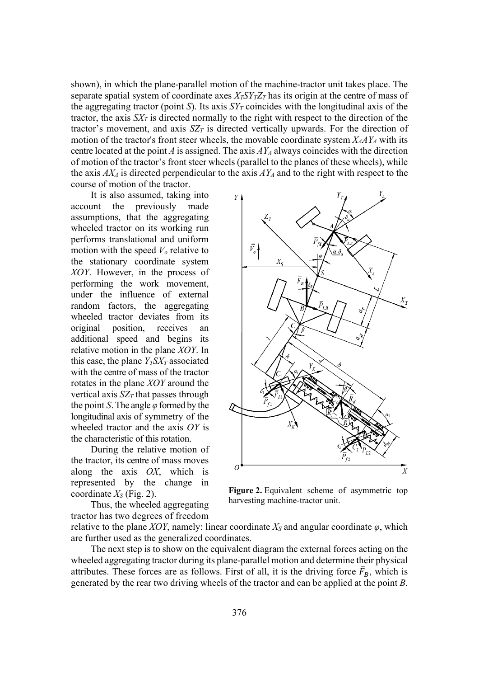shown), in which the plane-parallel motion of the machine-tractor unit takes place. The separate spatial system of coordinate axes  $X_T SY_T Z_T$  has its origin at the centre of mass of the aggregating tractor (point *S*). Its axis  $SY<sub>T</sub>$  coincides with the longitudinal axis of the tractor, the axis  $SX<sub>T</sub>$  is directed normally to the right with respect to the direction of the tractor's movement, and axis  $SZ_T$  is directed vertically upwards. For the direction of motion of the tractor's front steer wheels, the movable coordinate system  $X_AAY_A$  with its centre located at the point *A* is assigned. The axis  $AY_A$  always coincides with the direction of motion of the tractor's front steer wheels (parallel to the planes of these wheels), while the axis  $AX_4$  is directed perpendicular to the axis  $AY_4$  and to the right with respect to the course of motion of the tractor.

It is also assumed, taking into account the previously made assumptions, that the aggregating wheeled tractor on its working run performs translational and uniform motion with the speed  $V<sub>o</sub>$  relative to the stationary coordinate system *XOY*. However, in the process of performing the work movement, under the influence of external random factors, the aggregating wheeled tractor deviates from its original position, receives an additional speed and begins its relative motion in the plane *XOY*. In this case, the plane  $Y_T S X_T$  associated with the centre of mass of the tractor rotates in the plane *XOY* around the vertical axis  $SZ_T$  that passes through the point *S*. The angle  $\varphi$  formed by the longitudinal axis of symmetry of the wheeled tractor and the axis OY is the characteristic of this rotation.

During the relative motion of the tractor, its centre of mass moves along the axis  $OX$ , which is represented by the change in coordinate  $X<sub>S</sub>$  (Fig. 2).

Thus, the wheeled aggregating tractor has two degrees of freedom



**Figure 2.** Equivalent scheme of asymmetric top harvesting machine-tractor unit.

relative to the plane *XOY*, namely: linear coordinate  $X_S$  and angular coordinate  $\varphi$ , which are further used as the generalized coordinates.

The next step is to show on the equivalent diagram the external forces acting on the wheeled aggregating tractor during its plane-parallel motion and determine their physical attributes. These forces are as follows. First of all, it is the driving force  $\bar{F}_B$ , which is generated by the rear two driving wheels of the tractor and can be applied at the point *B*.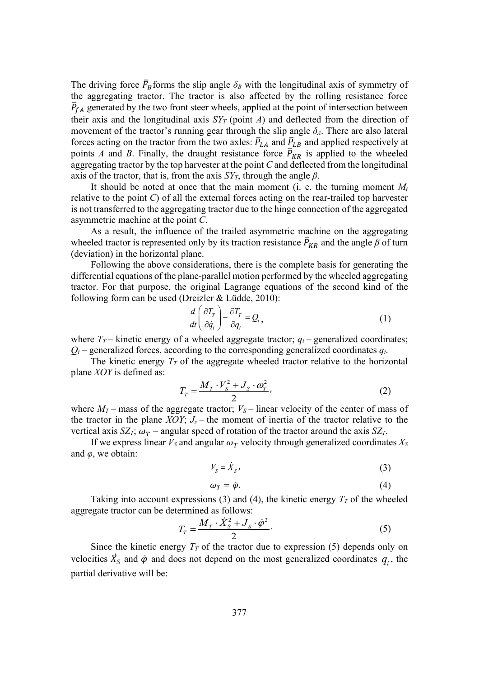The driving force  $\bar{F}_B$  forms the slip angle  $\delta_B$  with the longitudinal axis of symmetry of the aggregating tractor. The tractor is also affected by the rolling resistance force  $\bar{P}_{fA}$  generated by the two front steer wheels, applied at the point of intersection between their axis and the longitudinal axis  $SY_T$  (point *A*) and deflected from the direction of movement of the tractor's running gear through the slip angle  $\delta_A$ . There are also lateral forces acting on the tractor from the two axles:  $\bar{P}_{LA}$  and  $\bar{P}_{LB}$  and applied respectively at points *A* and *B*. Finally, the draught resistance force  $\bar{P}_{KR}$  is applied to the wheeled aggregating tractor by the top harvester at the point *&* and deflected from the longitudinal axis of the tractor, that is, from the axis  $SY<sub>T</sub>$ , through the angle  $\beta$ .

It should be noted at once that the main moment (i. e. the turning moment  $M_t$ relative to the point *C*) of all the external forces acting on the rear-trailed top harvester is not transferred to the aggregating tractor due to the hinge connection of the aggregated asymmetric machine at the point *&*.

As a result, the influence of the trailed asymmetric machine on the aggregating wheeled tractor is represented only by its traction resistance  $\bar{P}_{KR}$  and the angle  $\beta$  of turn (deviation) in the horizontal plane.

Following the above considerations, there is the complete basis for generating the differential equations of the plane-parallel motion performed by the wheeled aggregating tractor. For that purpose, the original Lagrange equations of the second kind of the following form can be used (Dreizler & Lüdde, 2010):

$$
\frac{d}{dt}\left(\frac{\partial T_r}{\partial \dot{q}_i}\right) - \frac{\partial T_r}{\partial q_i} = Q_i, \qquad (1)
$$

where  $T_T$  – kinetic energy of a wheeled aggregate tractor;  $q_i$  – generalized coordinates;  $Q_i$  – generalized forces, according to the corresponding generalized coordinates  $q_i$ .

The kinetic energy  $T_T$  of the aggregate wheeled tractor relative to the horizontal plane *XOY* is defined as:

$$
T_r = \frac{M_r \cdot V_s^2 + J_s \cdot \omega_r^2}{2},\tag{2}
$$

where  $M_T$  – mass of the aggregate tractor;  $V_S$  – linear velocity of the center of mass of the tractor in the plane *XOY*;  $J_s$  – the moment of inertia of the tractor relative to the vertical axis *SZ<sub>T</sub>*;  $\omega_T$  – angular speed of rotation of the tractor around the axis *SZ<sub>T</sub>*.

If we express linear  $V_s$  and angular  $\omega_T$  velocity through generalized coordinates  $X_s$ and  $\varphi$ , we obtain:

$$
V_s = \dot{X}_s \tag{3}
$$

$$
\omega_T = \dot{\varphi}.\tag{4}
$$

Taking into account expressions (3) and (4), the kinetic energy  $T<sub>T</sub>$  of the wheeled aggregate tractor can be determined as follows:

$$
T_T = \frac{M_T \cdot \dot{X}_S^2 + J_S \cdot \dot{\varphi}^2}{2}.
$$
 (5)

Since the kinetic energy  $T<sub>T</sub>$  of the tractor due to expression (5) depends only on velocities  $\dot{X}_s$  and  $\dot{\varphi}$  and does not depend on the most generalized coordinates  $q_i$ , the partial derivative will be: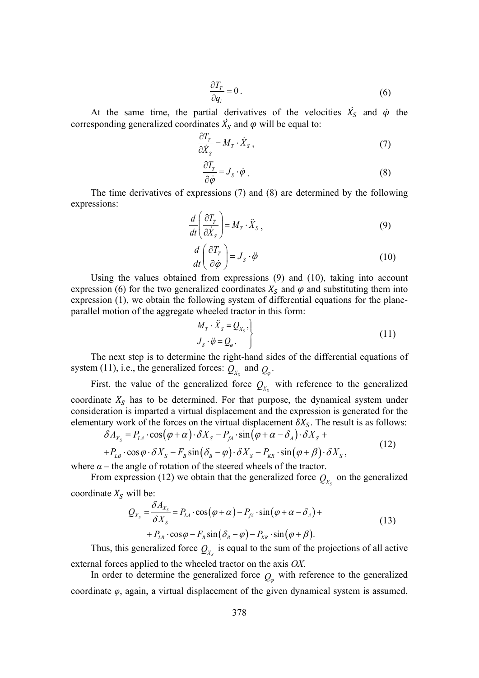$$
\frac{\partial T_r}{\partial q_i} = 0 \,. \tag{6}
$$

At the same time, the partial derivatives of the velocities  $\dot{X}_s$  and  $\dot{\varphi}$  the corresponding generalized coordinates  $\dot{X_S}$  and  $\varphi$  will be equal to:

$$
\frac{\partial T_r}{\partial \dot{X}_s} = M_r \cdot \dot{X}_s \,, \tag{7}
$$

$$
\frac{\partial T_T}{\partial \dot{\varphi}} = J_S \cdot \dot{\varphi} \ . \tag{8}
$$

The time derivatives of expressions (7) and (8) are determined by the following expressions:

$$
\frac{d}{dt} \left( \frac{\partial T_r}{\partial \dot{X}_s} \right) = M_T \cdot \ddot{X}_s , \qquad (9)
$$

$$
\frac{d}{dt}\left(\frac{\partial T_r}{\partial \dot{\phi}}\right) = J_s \cdot \ddot{\phi} \tag{10}
$$

Using the values obtained from expressions (9) and (10), taking into account expression (6) for the two generalized coordinates  $X_s$  and  $\varphi$  and substituting them into expression (1), we obtain the following system of differential equations for the planeparallel motion of the aggregate wheeled tractor in this form:

$$
\left\{\n \begin{aligned}\n M_T \cdot \ddot{X}_S &= Q_{X_S}, \\
J_S \cdot \ddot{\varphi} &= Q_{\varphi}.\n \end{aligned}\n \right\}\n \tag{11}
$$

The next step is to determine the right-hand sides of the differential equations of system (11), i.e., the generalized forces:  $Q_{X_s}$  and  $Q_{\varphi}$ .

First, the value of the generalized force  $Q_{\chi_{\rm c}}$  with reference to the generalized coordinate  $X_{S}$  has to be determined. For that purpose, the dynamical system under consideration is imparted a virtual displacement and the expression is generated for the elementary work of the forces on the virtual displacement  $\delta X_{\mathcal{S}}$ . The result is as follows:

$$
\delta A_{X_s} = P_{LA} \cdot \cos(\varphi + \alpha) \cdot \delta X_s - P_{IA} \cdot \sin(\varphi + \alpha - \delta_A) \cdot \delta X_s +
$$
  
+ 
$$
P_{LB} \cdot \cos \varphi \cdot \delta X_s - F_B \sin(\delta_B - \varphi) \cdot \delta X_s - P_{KR} \cdot \sin(\varphi + \beta) \cdot \delta X_s,
$$
 (12)

where  $\alpha$  – the angle of rotation of the steered wheels of the tractor.

From expression (12) we obtain that the generalized force  $Q_{X_s}$  on the generalized coordinate  $X_S$  will be:

$$
Q_{X_S} = \frac{\delta A_{X_S}}{\delta X_S} = P_{LA} \cdot \cos(\varphi + \alpha) - P_{IA} \cdot \sin(\varphi + \alpha - \delta_A) +
$$
  
+  $P_{LB} \cdot \cos\varphi - F_B \sin(\delta_B - \varphi) - P_{KR} \cdot \sin(\varphi + \beta).$  (13)

Thus, this generalized force  $Q_{\chi_{\text{c}}}$  is equal to the sum of the projections of all active external forces applied to the wheeled tractor on the axis OX.

In order to determine the generalized force  $Q_{\varphi}$  with reference to the generalized coordinate  $\varphi$ , again, a virtual displacement of the given dynamical system is assumed,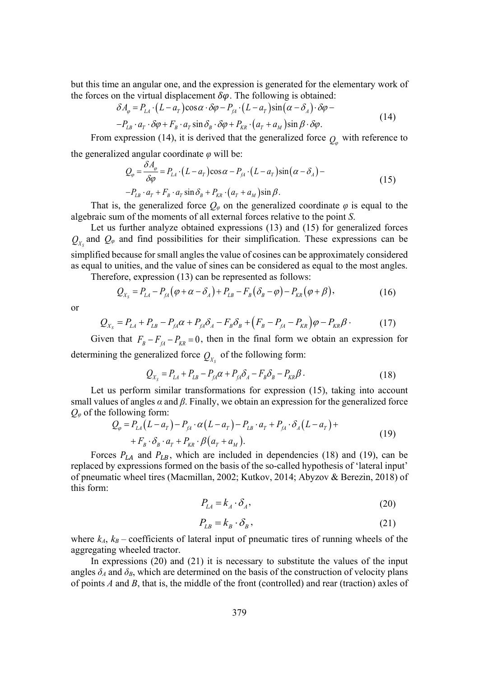but this time an angular one, and the expression is generated for the elementary work of the forces on the virtual displacement  $\delta\varphi$ . The following is obtained:

$$
\delta A_{\varphi} = P_{LA} \cdot (L - a_{T}) \cos \alpha \cdot \delta \varphi - P_{IA} \cdot (L - a_{T}) \sin (\alpha - \delta_{A}) \cdot \delta \varphi -
$$
  

$$
-P_{LB} \cdot a_{T} \cdot \delta \varphi + F_{B} \cdot a_{T} \sin \delta_{B} \cdot \delta \varphi + P_{KR} \cdot (a_{T} + a_{M}) \sin \beta \cdot \delta \varphi.
$$
 (14)

From expression (14), it is derived that the generalized force  $Q_{\varphi}$  with reference to

the generalized angular coordinate  $\varphi$  will be:

$$
Q_{\varphi} = \frac{\delta A_{\varphi}}{\delta \varphi} = P_{LA} \cdot (L - a_{T}) \cos \alpha - P_{IA} \cdot (L - a_{T}) \sin (\alpha - \delta_{A}) -
$$
  
- P<sub>LB</sub> · a<sub>T</sub> + F<sub>B</sub> · a<sub>T</sub> sin \delta<sub>B</sub> + P<sub>KR</sub> · (a<sub>T</sub> + a<sub>M</sub>) sin \beta. (15)

That is, the generalized force  $Q_{\varphi}$  on the generalized coordinate  $\varphi$  is equal to the algebraic sum of the moments of all external forces relative to the point *6*.

Let us further analyze obtained expressions (13) and (15) for generalized forces  $Q_{x}$  and  $Q_{\varphi}$  and find possibilities for their simplification. These expressions can be simplified because for small angles the value of cosines can be approximately considered as equal to unities, and the value of sines can be considered as equal to the most angles.

Therefore, expression (13) can be represented as follows:

$$
Q_{X_s} = P_{LA} - P_{fA}(\varphi + \alpha - \delta_A) + P_{LB} - F_B(\delta_B - \varphi) - P_{KR}(\varphi + \beta), \qquad (16)
$$

or

$$
Q_{X_s} = P_{LA} + P_{LB} - P_{A} \alpha + P_{A} \delta_A - F_B \delta_B + (F_B - P_{AA} - P_{KR}) \varphi - P_{KR} \beta \tag{17}
$$

Given that  $F_B - F_{fA} - P_{KR} = 0$ , then in the final form we obtain an expression for determining the generalized force  $Q_{X_6}$  of the following form:

$$
Q_{X_s} = P_{LA} + P_{LB} - P_{fd}\alpha + P_{fd}\delta_A - F_B\delta_B - P_{KR}\beta.
$$
 (18)

Let us perform similar transformations for expression (15), taking into account small values of angles  $\alpha$  and  $\beta$ . Finally, we obtain an expression for the generalized force  $Q_{\varphi}$  of the following form:

$$
Q_{\varphi} = P_{LA}(L - a_T) - P_{IA} \cdot \alpha (L - a_T) - P_{LB} \cdot a_T + P_{IA} \cdot \delta_A (L - a_T) +
$$
  
+  $F_B \cdot \delta_B \cdot a_T + P_{KR} \cdot \beta (a_T + a_M).$  (19)

Forces  $P_{LA}$  and  $P_{LB}$ , which are included in dependencies (18) and (19), can be replaced by expressions formed on the basis of the so-called hypothesis of 'lateral input' of pneumatic wheel tires (Macmillan, 2002; Kutkov, 2014; Abyzov & Berezin, 2018) of this form:

$$
P_{LA} = k_A \cdot \delta_A,\tag{20}
$$

$$
P_{LB} = k_B \cdot \delta_B, \qquad (21)
$$

where  $k_A$ ,  $k_B$  – coefficients of lateral input of pneumatic tires of running wheels of the aggregating wheeled tractor.

In expressions (20) and (21) it is necessary to substitute the values of the input angles  $\delta_A$  and  $\delta_B$ , which are determined on the basis of the construction of velocity plans of points *A* and *B*, that is, the middle of the front (controlled) and rear (traction) axles of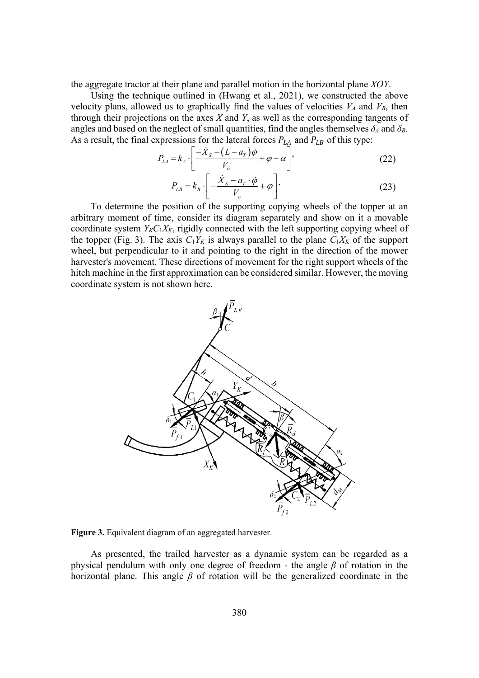the aggregate tractor at their plane and parallel motion in the horizontal plane *XOY*.

Using the technique outlined in (Hwang et al., 2021), we constructed the above velocity plans, allowed us to graphically find the values of velocities  $V_A$  and  $V_B$ , then through their projections on the axes  $X$  and  $Y$ , as well as the corresponding tangents of angles and based on the neglect of small quantities, find the angles themselves  $\delta_A$  and  $\delta_B$ . As a result, the final expressions for the lateral forces  $P_{LA}$  and  $P_{LB}$  of this type:

$$
P_{LA} = k_A \cdot \left[ \frac{-\dot{X}_s - (L - a_r)\dot{\varphi}}{V_o} + \varphi + \alpha \right],
$$
\n(22)

$$
P_{LB} = k_B \cdot \left[ -\frac{\dot{X}_s - a_r \cdot \dot{\varphi}}{V_o} + \varphi \right].
$$
 (23)

To determine the position of the supporting copying wheels of the topper at an arbitrary moment of time, consider its diagram separately and show on it a movable coordinate system  $Y_K C_1 X_K$ , rigidly connected with the left supporting copying wheel of the topper (Fig. 3). The axis  $C_1Y_K$  is always parallel to the plane  $C_1X_K$  of the support wheel, but perpendicular to it and pointing to the right in the direction of the mower harvester's movement. These directions of movement for the right support wheels of the hitch machine in the first approximation can be considered similar. However, the moving coordinate system is not shown here.



**Figure 3.** Equivalent diagram of an aggregated harvester.

As presented, the trailed harvester as a dynamic system can be regarded as a physical pendulum with only one degree of freedom - the angle  $\beta$  of rotation in the horizontal plane. This angle  $\beta$  of rotation will be the generalized coordinate in the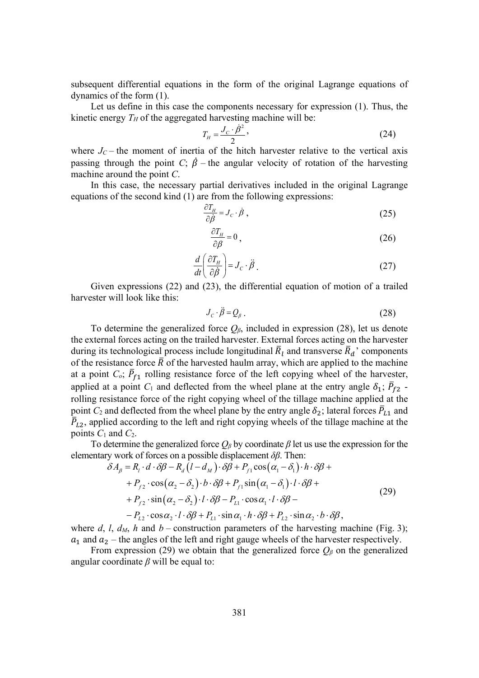subsequent differential equations in the form of the original Lagrange equations of dynamics of the form (1).

Let us define in this case the components necessary for expression (1). Thus, the kinetic energy  $T_H$  of the aggregated harvesting machine will be:

$$
T_H = \frac{J_C \cdot \dot{\beta}^2}{2},\tag{24}
$$

where  $J_C$  – the moment of inertia of the hitch harvester relative to the vertical axis passing through the point *C*;  $\dot{\beta}$  – the angular velocity of rotation of the harvesting machine around the point *&*.

In this case, the necessary partial derivatives included in the original Lagrange equations of the second kind (1) are from the following expressions:

$$
\frac{\partial T_H}{\partial \dot{\beta}} = J_C \cdot \dot{\beta} \,, \tag{25}
$$

$$
\frac{\partial T_H}{\partial \beta} = 0 \,, \tag{26}
$$

$$
\frac{d}{dt}\left(\frac{\partial T_H}{\partial \dot{\beta}}\right) = J_C \cdot \ddot{\beta} \ . \tag{27}
$$

Given expressions (22) and (23), the differential equation of motion of a trailed harvester will look like this:

$$
J_c \cdot \ddot{\beta} = Q_{\beta} \,. \tag{28}
$$

To determine the generalized force  $Q_{\beta}$ , included in expression (28), let us denote the external forces acting on the trailed harvester. External forces acting on the harvester during its technological process include longitudinal  $\bar{R}_l$  and transverse  $\bar{R}_d$ ' components of the resistance force  $\bar{R}$  of the harvested haulm array, which are applied to the machine at a point  $C_o$ ;  $\bar{P}_{f1}$  rolling resistance force of the left copying wheel of the harvester, applied at a point  $C_1$  and deflected from the wheel plane at the entry angle  $\delta_1$ ;  $\bar{P}_{f2}$  rolling resistance force of the right copying wheel of the tillage machine applied at the point  $C_2$  and deflected from the wheel plane by the entry angle  $\delta_2$ ; lateral forces  $\bar{P}_{L1}$  and  $\bar{P}_{L2}$ , applied according to the left and right copying wheels of the tillage machine at the points  $C_1$  and  $C_2$ .

To determine the generalized force  $Q_{\beta}$  by coordinate  $\beta$  let us use the expression for the elementary work of forces on a possible displacement  $\delta \beta$ . Then:

$$
\delta A_{\beta} = R_{i} \cdot d \cdot \delta \beta - R_{d} (l - d_{M}) \cdot \delta \beta + P_{f1} \cos (\alpha_{1} - \delta_{1}) \cdot h \cdot \delta \beta ++ P_{f2} \cdot \cos (\alpha_{2} - \delta_{2}) \cdot b \cdot \delta \beta + P_{f1} \sin (\alpha_{1} - \delta_{1}) \cdot l \cdot \delta \beta ++ P_{f2} \cdot \sin (\alpha_{2} - \delta_{2}) \cdot l \cdot \delta \beta - P_{L1} \cdot \cos \alpha_{1} \cdot l \cdot \delta \beta -- P_{L2} \cdot \cos \alpha_{2} \cdot l \cdot \delta \beta + P_{L1} \cdot \sin \alpha_{1} \cdot h \cdot \delta \beta + P_{L2} \cdot \sin \alpha_{2} \cdot b \cdot \delta \beta,
$$
\n(29)

where  $d$ ,  $l$ ,  $d_M$ ,  $h$  and  $b$  – construction parameters of the harvesting machine (Fig. 3);  $a_1$  and  $a_2$  – the angles of the left and right gauge wheels of the harvester respectively.

From expression (29) we obtain that the generalized force  $Q_{\beta}$  on the generalized angular coordinate  $\beta$  will be equal to: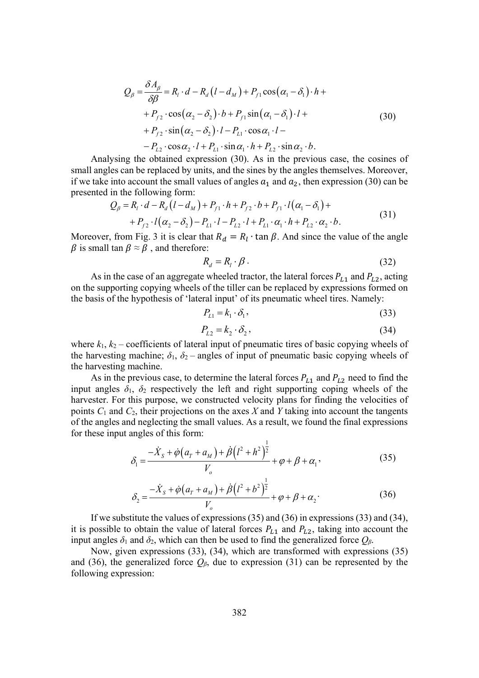$$
Q_{\beta} = \frac{\delta A_{\beta}}{\delta \beta} = R_{l} \cdot d - R_{d} (l - d_{M}) + P_{f1} \cos(\alpha_{1} - \delta_{1}) \cdot h +
$$
  
+ 
$$
P_{f2} \cdot \cos(\alpha_{2} - \delta_{2}) \cdot b + P_{f1} \sin(\alpha_{1} - \delta_{1}) \cdot l +
$$
  
+ 
$$
P_{f2} \cdot \sin(\alpha_{2} - \delta_{2}) \cdot l - P_{L1} \cdot \cos \alpha_{1} \cdot l -
$$
  
- 
$$
P_{L2} \cdot \cos \alpha_{2} \cdot l + P_{L1} \cdot \sin \alpha_{1} \cdot h + P_{L2} \cdot \sin \alpha_{2} \cdot b.
$$
 (30)

Analysing the obtained expression (30). As in the previous case, the cosines of small angles can be replaced by units, and the sines by the angles themselves. Moreover, if we take into account the small values of angles  $a_1$  and  $a_2$ , then expression (30) can be presented in the following form:

$$
Q_{\beta} = R_{l} \cdot d - R_{d} (l - d_{M}) + P_{f1} \cdot h + P_{f2} \cdot b + P_{f1} \cdot l(\alpha_{1} - \delta_{1}) ++ P_{f2} \cdot l(\alpha_{2} - \delta_{2}) - P_{L1} \cdot l - P_{L2} \cdot l + P_{L1} \cdot \alpha_{1} \cdot h + P_{L2} \cdot \alpha_{2} \cdot b.
$$
\n(31)

Moreover, from Fig. 3 it is clear that  $R_d = R_l \cdot \tan \beta$ . And since the value of the angle  $\beta$  is small tan  $\beta \approx \beta$ , and therefore:

$$
R_d = R_l \cdot \beta \,. \tag{32}
$$

As in the case of an aggregate wheeled tractor, the lateral forces  $P_{L1}$  and  $P_{L2}$ , acting on the supporting copying wheels of the tiller can be replaced by expressions formed on the basis of the hypothesis of 'lateral input' of its pneumatic wheel tires. Namely:

$$
P_{L1} = k_1 \cdot \delta_1,\tag{33}
$$

$$
P_{L2} = k_2 \cdot \delta_2,\tag{34}
$$

where  $k_1, k_2$  – coefficients of lateral input of pneumatic tires of basic copying wheels of the harvesting machine;  $\delta_1$ ,  $\delta_2$  – angles of input of pneumatic basic copying wheels of the harvesting machine.

As in the previous case, to determine the lateral forces  $P_{L1}$  and  $P_{L2}$  need to find the input angles  $\delta_1$ ,  $\delta_2$  respectively the left and right supporting coping wheels of the harvester. For this purpose, we constructed velocity plans for finding the velocities of points  $C_1$  and  $C_2$ , their projections on the axes  $X$  and  $Y$  taking into account the tangents of the angles and neglecting the small values. As a result, we found the final expressions for these input angles of this form:

$$
\delta_1 = \frac{-\dot{X}_s + \dot{\phi}(a_r + a_M) + \dot{\beta}(l^2 + h^2)^{\frac{1}{2}}}{V_o} + \phi + \beta + \alpha_1,
$$
\n(35)

$$
\delta_2 = \frac{-\dot{X}_s + \dot{\varphi}(a_r + a_M) + \dot{\beta}(l^2 + b^2)^{\frac{1}{2}}}{V_o} + \varphi + \beta + \alpha_2.
$$
 (36)

If we substitute the values of expressions (35) and (36) in expressions (33) and (34), it is possible to obtain the value of lateral forces  $P_{L1}$  and  $P_{L2}$ , taking into account the input angles  $\delta_1$  and  $\delta_2$ , which can then be used to find the generalized force  $Q_\beta$ .

Now, given expressions (33), (34), which are transformed with expressions (35) and (36), the generalized force  $Q_{\beta}$ , due to expression (31) can be represented by the following expression: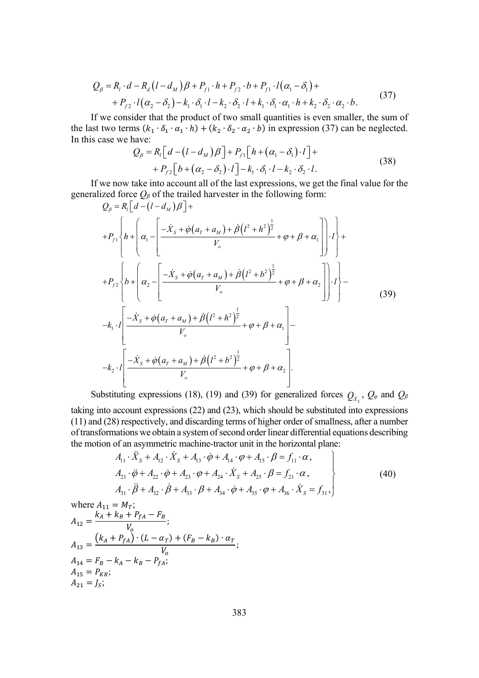$$
Q_{\beta} = R_i \cdot d - R_d (l - d_M) \beta + P_{f1} \cdot h + P_{f2} \cdot b + P_{f1} \cdot l (\alpha_1 - \delta_1) +
$$
  
+ 
$$
P_{f2} \cdot l (\alpha_2 - \delta_2) - k_1 \cdot \delta_1 \cdot l - k_2 \cdot \delta_2 \cdot l + k_1 \cdot \delta_1 \cdot \alpha_1 \cdot h + k_2 \cdot \delta_2 \cdot \alpha_2 \cdot b. \tag{37}
$$

If we consider that the product of two small quantities is even smaller, the sum of the last two terms  $(k_1 \cdot \delta_1 \cdot \alpha_1 \cdot h) + (k_2 \cdot \delta_2 \cdot \alpha_2 \cdot b)$  in expression (37) can be neglected. In this case we have:

$$
Q_{\beta} = R_{i} \left[d - (l - d_{M})\beta\right] + P_{f1} \left[h + (\alpha_{1} - \delta_{1}) \cdot l\right] +
$$
  
+ 
$$
P_{f2} \left[b + (\alpha_{2} - \delta_{2}) \cdot l\right] - k_{1} \cdot \delta_{1} \cdot l - k_{2} \cdot \delta_{2} \cdot l.
$$
 (38)

If we now take into account all of the last expressions, we get the final value for the generalized force  $Q_{\beta}$  of the trailed harvester in the following form:

$$
Q_{\beta} = R_{l} \left[ d - (l - d_{M}) \beta \right] +
$$
  
+ $P_{f1} \left\{ h + \left( \alpha_{1} - \left[ \frac{-\dot{X}_{s} + \dot{\phi} (a_{T} + a_{M}) + \dot{\beta} (l^{2} + h^{2})^{\frac{1}{2}}}{V_{o}} + \phi + \beta + \alpha_{1} \right] \right\} \cdot l \right\} +$   
+ $P_{f2} \left\{ b + \left( \alpha_{2} - \left[ \frac{-\dot{X}_{s} + \dot{\phi} (a_{T} + a_{M}) + \dot{\beta} (l^{2} + b^{2})^{\frac{1}{2}}}{V_{o}} + \phi + \beta + \alpha_{2} \right] \right\} \cdot l \right\} -$   
- $k_{1} \cdot l \left[ \frac{-\dot{X}_{s} + \dot{\phi} (a_{T} + a_{M}) + \dot{\beta} (l^{2} + h^{2})^{\frac{1}{2}}}{V_{o}} + \phi + \beta + \alpha_{1} \right] -$   
- $k_{2} \cdot l \left[ \frac{-\dot{X}_{s} + \dot{\phi} (a_{T} + a_{M}) + \dot{\beta} (l^{2} + b^{2})^{\frac{1}{2}}}{V_{o}} + \phi + \beta + \alpha_{2} \right].$  (39)

Substituting expressions (18), (19) and (39) for generalized forces  $Q_{X_s}$ ,  $Q_{\varphi}$  and  $Q_{\beta}$ 

taking into account expressions (22) and (23), which should be substituted into expressions (11) and (28) respectively, and discarding terms of higher order of smallness, after a number of transformations we obtain a system of second order linear differential equations describing the motion of an asymmetric machine-tractor unit in the horizontal plane:

$$
A_{11} \cdot \ddot{X}_S + A_{12} \cdot \dot{X}_S + A_{13} \cdot \dot{\phi} + A_{14} \cdot \phi + A_{15} \cdot \beta = f_{11} \cdot \alpha,
$$
  
\n
$$
A_{21} \cdot \ddot{\phi} + A_{22} \cdot \dot{\phi} + A_{23} \cdot \phi + A_{24} \cdot \dot{X}_S + A_{25} \cdot \beta = f_{21} \cdot \alpha,
$$
  
\n
$$
A_{31} \cdot \ddot{\beta} + A_{32} \cdot \dot{\beta} + A_{33} \cdot \beta + A_{34} \cdot \dot{\phi} + A_{35} \cdot \phi + A_{36} \cdot \dot{X}_S = f_{31},
$$
\n(40)

where 
$$
A_{11} = M_T
$$
;  
\n
$$
A_{12} = \frac{k_A + k_B + P_{fA} - F_B}{V_o};
$$
\n
$$
A_{13} = \frac{(k_A + P_{fA}) \cdot (L - \alpha_T) + (F_B - k_B) \cdot \alpha_T}{V_o};
$$
\n
$$
A_{14} = F_B - k_A - k_B - P_{fA};
$$
\n
$$
A_{15} = P_{KR};
$$
\n
$$
A_{21} = J_S;
$$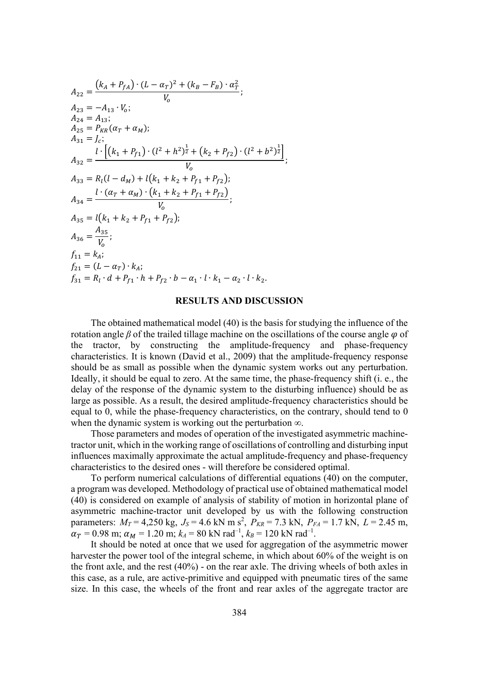$$
A_{22} = \frac{(k_A + P_{fA}) \cdot (L - \alpha_T)^2 + (k_B - F_B) \cdot \alpha_T^2}{V_0};
$$
  
\n
$$
A_{23} = -A_{13} \cdot V_0;
$$
  
\n
$$
A_{24} = A_{13};
$$
  
\n
$$
A_{25} = P_{KR}(\alpha_T + \alpha_M);
$$
  
\n
$$
A_{31} = J_c;
$$
  
\n
$$
A_{32} = \frac{l \cdot [(k_1 + P_{f1}) \cdot (l^2 + h^2)^{\frac{1}{2}} + (k_2 + P_{f2}) \cdot (l^2 + b^2)^{\frac{1}{2}}]}{V_0};
$$
  
\n
$$
A_{33} = R_l(l - d_M) + l(k_1 + k_2 + P_{f1} + P_{f2});
$$
  
\n
$$
A_{34} = \frac{l \cdot (\alpha_T + \alpha_M) \cdot (k_1 + k_2 + P_{f1} + P_{f2})}{V_0};
$$
  
\n
$$
A_{35} = l(k_1 + k_2 + P_{f1} + P_{f2});
$$
  
\n
$$
A_{36} = \frac{A_{35}}{V_0};
$$
  
\n
$$
f_{11} = k_A;
$$
  
\n
$$
f_{21} = (L - \alpha_T) \cdot k_A;
$$
  
\n
$$
f_{31} = R_l \cdot d + P_{f1} \cdot h + P_{f2} \cdot b - \alpha_1 \cdot l \cdot k_1 - \alpha_2 \cdot l \cdot k_2.
$$

#### **RESULTS AND DISCUSSION**

The obtained mathematical model (40) is the basis for studying the influence of the rotation angle  $\beta$  of the trailed tillage machine on the oscillations of the course angle  $\varphi$  of the tractor, by constructing the amplitude-frequency and phase-frequency characteristics. It is known (David et al., 2009) that the amplitude-frequency response should be as small as possible when the dynamic system works out any perturbation. Ideally, it should be equal to zero. At the same time, the phase-frequency shift (i. e., the delay of the response of the dynamic system to the disturbing influence) should be as large as possible. As a result, the desired amplitude-frequency characteristics should be equal to 0, while the phase-frequency characteristics, on the contrary, should tend to 0 when the dynamic system is working out the perturbation  $\infty$ .

Those parameters and modes of operation of the investigated asymmetric machinetractor unit, which in the working range of oscillations of controlling and disturbing input influences maximally approximate the actual amplitude-frequency and phase-frequency characteristics to the desired ones - will therefore be considered optimal.

To perform numerical calculations of differential equations (40) on the computer, a program was developed. Methodology of practical use of obtained mathematical model (40) is considered on example of analysis of stability of motion in horizontal plane of asymmetric machine-tractor unit developed by us with the following construction parameters:  $M_T = 4,250$  kg,  $J_S = 4.6$  kN m s<sup>2</sup>,  $P_{KR} = 7.3$  kN,  $P_{FA} = 1.7$  kN,  $L = 2.45$  m,  $\alpha_T = 0.98$  m;  $\alpha_M = 1.20$  m;  $k_A = 80$  kN rad<sup>-1</sup>,  $k_B = 120$  kN rad<sup>-1</sup>.

It should be noted at once that we used for aggregation of the asymmetric mower harvester the power tool of the integral scheme, in which about 60% of the weight is on the front axle, and the rest (40%) - on the rear axle. The driving wheels of both axles in this case, as a rule, are active-primitive and equipped with pneumatic tires of the same size. In this case, the wheels of the front and rear axles of the aggregate tractor are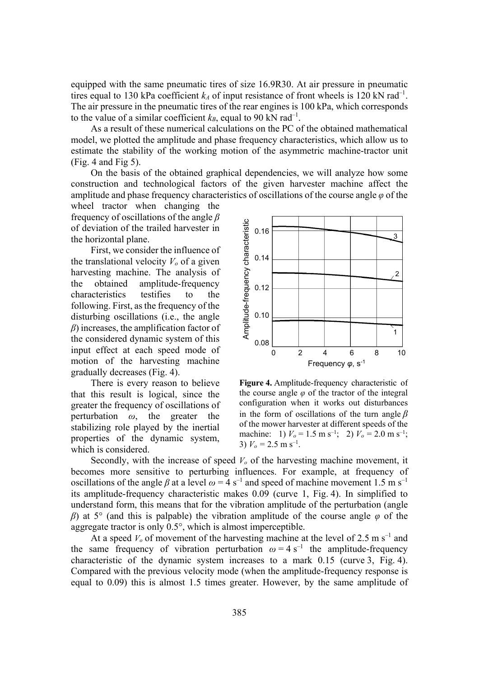equipped with the same pneumatic tires of size 16.9R30. At air pressure in pneumatic tires equal to 130 kPa coefficient  $k_A$  of input resistance of front wheels is 120 kN rad<sup>-1</sup>. The air pressure in the pneumatic tires of the rear engines is 100 kPa, which corresponds to the value of a similar coefficient  $k_B$ , equal to 90 kN rad<sup>-1</sup>.

As a result of these numerical calculations on the PC of the obtained mathematical model, we plotted the amplitude and phase frequency characteristics, which allow us to estimate the stability of the working motion of the asymmetric machine-tractor unit (Fig. 4 and Fig 5).

On the basis of the obtained graphical dependencies, we will analyze how some construction and technological factors of the given harvester machine affect the amplitude and phase frequency characteristics of oscillations of the course angle  $\varphi$  of the

wheel tractor when changing the frequency of oscillations of the angle *ȕ* of deviation of the trailed harvester in the horizontal plane.

First, we consider the influence of the translational velocity  $V<sub>o</sub>$  of a given harvesting machine. The analysis of the obtained amplitude-frequency characteristics testifies to the following. First, as the frequency of the disturbing oscillations (i.e., the angle  $\beta$ ) increases, the amplification factor of the considered dynamic system of this input effect at each speed mode of motion of the harvesting machine gradually decreases (Fig. 4).

There is every reason to believe that this result is logical, since the greater the frequency of oscillations of perturbation  $\omega$ , the greater the stabilizing role played by the inertial properties of the dynamic system, which is considered.



**Figure 4.** Amplitude-frequency characteristic of the course angle  $\varphi$  of the tractor of the integral configuration when it works out disturbances in the form of oscillations of the turn angle  $\beta$ of the mower harvester at different speeds of the machine: 1)  $V_o = 1.5$  m s<sup>-1</sup>; 2)  $V_o = 2.0$  m s<sup>-1</sup>; 3)  $V_o = 2.5$  m s<sup>-1</sup>.

Secondly, with the increase of speed  $V<sub>o</sub>$  of the harvesting machine movement, it becomes more sensitive to perturbing influences. For example, at frequency of oscillations of the angle  $\beta$  at a level  $\omega = 4$  s<sup>-1</sup> and speed of machine movement 1.5 m s<sup>-1</sup> its amplitude-frequency characteristic makes 0.09 (curve 1, Fig. 4). In simplified to understand form, this means that for the vibration amplitude of the perturbation (angle  $\beta$ ) at 5° (and this is palpable) the vibration amplitude of the course angle  $\varphi$  of the aggregate tractor is only 0.5°, which is almost imperceptible.

At a speed  $V_0$  of movement of the harvesting machine at the level of 2.5 m s<sup>-1</sup> and the same frequency of vibration perturbation  $\omega = 4 \text{ s}^{-1}$  the amplitude-frequency characteristic of the dynamic system increases to a mark 0.15 (curve 3, Fig. 4). Compared with the previous velocity mode (when the amplitude-frequency response is equal to 0.09) this is almost 1.5 times greater. However, by the same amplitude of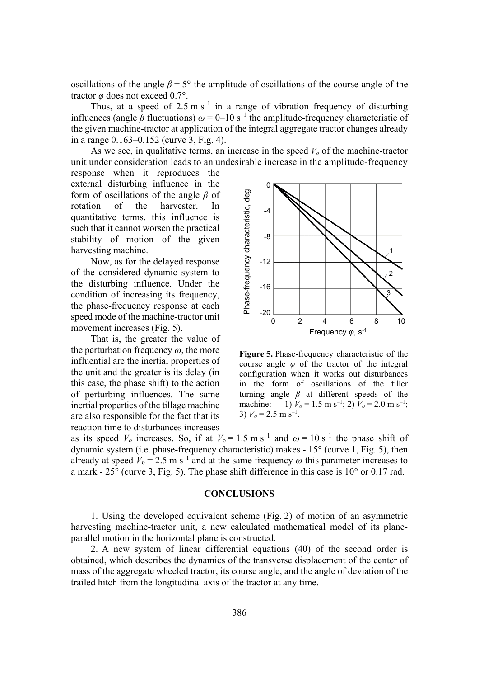oscillations of the angle  $\beta = 5^{\circ}$  the amplitude of oscillations of the course angle of the tractor  $\varphi$  does not exceed 0.7°.

Thus, at a speed of  $2.5 \text{ m s}^{-1}$  in a range of vibration frequency of disturbing influences (angle  $\beta$  fluctuations)  $\omega = 0$ –10 s<sup>-1</sup> the amplitude-frequency characteristic of the given machine-tractor at application of the integral aggregate tractor changes already in a range 0.163–0.152 (curve 3, Fig. 4).

As we see, in qualitative terms, an increase in the speed  $V<sub>o</sub>$  of the machine-tractor unit under consideration leads to an undesirable increase in the amplitude-frequency

response when it reproduces the external disturbing influence in the form of oscillations of the angle  $\beta$  of rotation of the harvester. In quantitative terms, this influence is such that it cannot worsen the practical stability of motion of the given harvesting machine.

Now, as for the delayed response of the considered dynamic system to the disturbing influence. Under the condition of increasing its frequency, the phase-frequency response at each speed mode of the machine-tractor unit movement increases (Fig. 5).

That is, the greater the value of the perturbation frequency  $\omega$ , the more influential are the inertial properties of the unit and the greater is its delay (in this case, the phase shift) to the action of perturbing influences. The same inertial properties of the tillage machine are also responsible for the fact that its reaction time to disturbances increases



**Figure 5.** Phase-frequency characteristic of the course angle  $\varphi$  of the tractor of the integral configuration when it works out disturbances in the form of oscillations of the tiller turning angle  $\beta$  at different speeds of the machine: 1)  $V_o = 1.5$  m s<sup>-1</sup>; 2)  $V_o = 2.0$  m s<sup>-1</sup>; 3)  $V_o = 2.5$  m s<sup>-1</sup>.

as its speed  $V_o$  increases. So, if at  $V_o = 1.5$  m s<sup>-1</sup> and  $\omega = 10$  s<sup>-1</sup> the phase shift of dynamic system (i.e. phase-frequency characteristic) makes - 15° (curve 1, Fig. 5), then already at speed  $V_0 = 2.5 \text{ m s}^{-1}$  and at the same frequency  $\omega$  this parameter increases to a mark - 25° (curve 3, Fig. 5). The phase shift difference in this case is 10° or 0.17 rad.

# **CONCLUSIONS**

1. Using the developed equivalent scheme (Fig. 2) of motion of an asymmetric harvesting machine-tractor unit, a new calculated mathematical model of its planeparallel motion in the horizontal plane is constructed.

2. A new system of linear differential equations (40) of the second order is obtained, which describes the dynamics of the transverse displacement of the center of mass of the aggregate wheeled tractor, its course angle, and the angle of deviation of the trailed hitch from the longitudinal axis of the tractor at any time.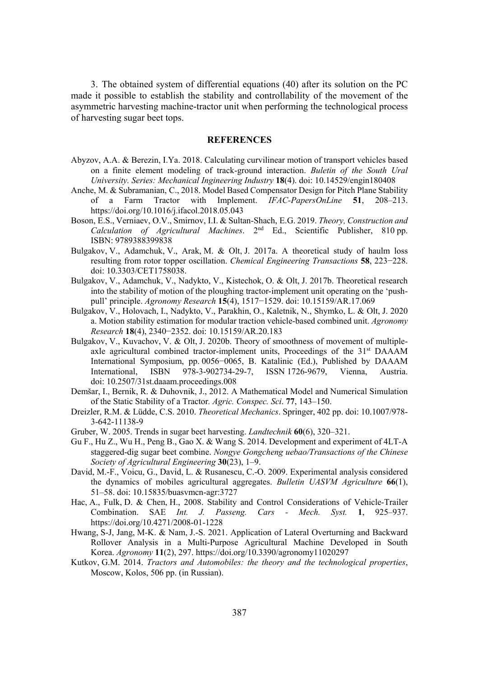3. The obtained system of differential equations (40) after its solution on the PC made it possible to establish the stability and controllability of the movement of the asymmetric harvesting machine-tractor unit when performing the technological process of harvesting sugar beet tops.

#### **REFERENCES**

- Abyzov, A.A. & Berezin, I.Ya. 2018. Calculating curvilinear motion of transport vehicles based on a finite element modeling of track-ground interaction. *Buletin of the South Ural University. Series: Mechanical Ingineering Industry* 18(4). doi: 10.14529/engin180408
- Anche, M. & Subramanian, C., 2018. Model Based Compensator Design for Pitch Plane Stability of a Farm Tractor with Implement. *IFAC-PapersOnLine* 51, 208–213. https://doi.org/10.1016/j.ifacol.2018.05.043
- Boson, E.S., Verniaev, O.V., Smirnov, I.I. & Sultan-Shach, E.G. 2019. *Theory, Construction and Calculation of Agricultural Machines.* 2<sup>nd</sup> Ed., Scientific Publisher, 810 pp. ISBN: 9789388399838
- Bulgakov, V., Adamchuk, V., Arak, M. & Olt, J. 2017a. A theoretical study of haulm loss resulting from rotor topper oscillation. *Chemical Engineering Transactions* 58, 223–228. doi: 10.3303/CET1758038.
- Bulgakov, V., Adamchuk, V., Nadykto, V., Kistechok, O. & Olt, J. 2017b. Theoretical research into the stability of motion of the ploughing tractor-implement unit operating on the 'pushpull' principle. *Agronomy Research* 15(4), 1517–1529. doi: 10.15159/AR.17.069
- Bulgakov, V., Holovach, I., Nadykto, V., Parakhin, O., Kaletnik, N., Shymko, L. & Olt, J. 2020 a. Motion stability estimation for modular traction vehicle-based combined unit. *Agronomy Research* **18**(4), 2340–2352. doi: 10.15159/AR.20.183
- Bulgakov, V., Kuvachov, V. & Olt, J. 2020b. Theory of smoothness of movement of multipleaxle agricultural combined tractor-implement units, Proceedings of the 31<sup>st</sup> DAAAM International Symposium, pp. 0056-0065, B. Katalinic (Ed.), Published by DAAAM International, ISBN 978-3-902734-29-7, ISSN 1726-9679, Vienna, Austria. doi: 10.2507/31st.daaam.proceedings.008
- Demšar, I., Bernik, R. & Duhovnik, J., 2012. A Mathematical Model and Numerical Simulation of the Static Stability of a Tractor. Agric. Conspec. Sci. 77, 143–150.
- Dreizler, R.M. & Lüdde, C.S. 2010. *Theoretical Mechanics*. Springer, 402 pp. doi: 10.1007/978-3-642-11138-9
- Gruber, W. 2005. Trends in sugar beet harvesting. *Landtechnik* 60(6), 320–321.
- Gu F., Hu Z., Wu H., Peng B., Gao X. & Wang S. 2014. Development and experiment of 4LT-A staggered-dig sugar beet combine. *Nongye Gongcheng uebao/Transactions of the Chinese Society of Agricultural Engineering* 30(23), 1–9.
- David, M.-F., Voicu, G., David, L. & Rusanescu, C.-O. 2009. Experimental analysis considered the dynamics of mobiles agricultural aggregates. *Bulletin UASVM Agriculture* 66(1), 51–58. doi: 10.15835/buasvmcn-agr:3727
- Hac, A., Fulk, D. & Chen, H., 2008. Stability and Control Considerations of Vehicle-Trailer Combination. SAE *Int. J. Passeng. Cars - Mech. Syst.* 1, 925–937. https://doi.org/10.4271/2008-01-1228
- Hwang, S-J, Jang, M-K. & Nam, J.-S. 2021. Application of Lateral Overturning and Backward Rollover Analysis in a Multi-Purpose Agricultural Machine Developed in South Korea. *Agronomy* **11**(2), 297. https://doi.org/10.3390/agronomy11020297
- Kutkov, G.M. 2014. *Tractors and Automobiles: the theory and the technological properties*, Moscow, Kolos, 506 pp. (in Russian).